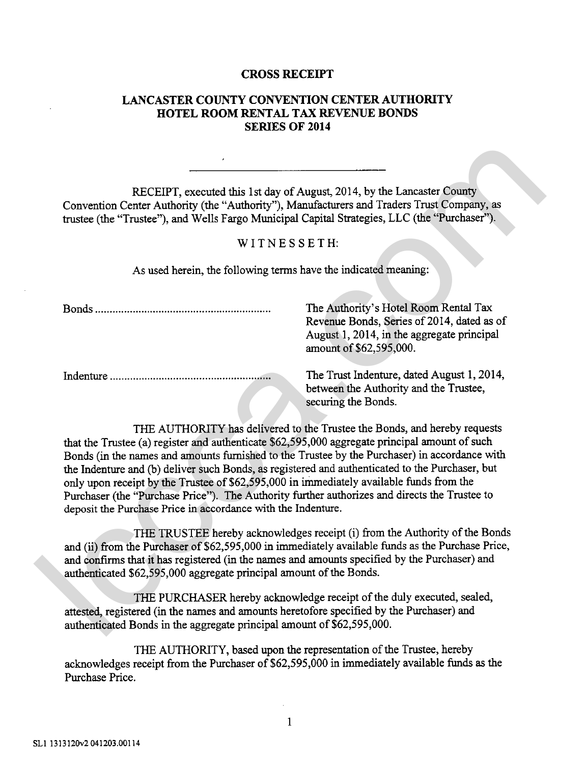## **CROSS RECEIPT**

## **LANCASTER COUNTY CONVENTION CENTER AUTHORITY HOTEL ROOM RENTAL TAX REVENUE BONDS SERIES OF 2014**

## WITNESSETH:

| RECEIPT, executed this 1st day of August, 2014, by the Lancaster County<br>Convention Center Authority (the "Authority"), Manufacturers and Traders Trust Company, as<br>trustee (the "Trustee"), and Wells Fargo Municipal Capital Strategies, LLC (the "Purchaser").                                                                                                                                                                                                                                                                                                                                                                       |                                                                                                                                                              |
|----------------------------------------------------------------------------------------------------------------------------------------------------------------------------------------------------------------------------------------------------------------------------------------------------------------------------------------------------------------------------------------------------------------------------------------------------------------------------------------------------------------------------------------------------------------------------------------------------------------------------------------------|--------------------------------------------------------------------------------------------------------------------------------------------------------------|
| WITNESSETH:                                                                                                                                                                                                                                                                                                                                                                                                                                                                                                                                                                                                                                  |                                                                                                                                                              |
| As used herein, the following terms have the indicated meaning:                                                                                                                                                                                                                                                                                                                                                                                                                                                                                                                                                                              |                                                                                                                                                              |
|                                                                                                                                                                                                                                                                                                                                                                                                                                                                                                                                                                                                                                              | The Authority's Hotel Room Rental Tax<br>Revenue Bonds, Series of 2014, dated as of<br>August 1, 2014, in the aggregate principal<br>amount of \$62,595,000. |
|                                                                                                                                                                                                                                                                                                                                                                                                                                                                                                                                                                                                                                              | The Trust Indenture, dated August 1, 2014,<br>between the Authority and the Trustee,<br>securing the Bonds.                                                  |
| THE AUTHORITY has delivered to the Trustee the Bonds, and hereby requests<br>that the Trustee (a) register and authenticate \$62,595,000 aggregate principal amount of such<br>Bonds (in the names and amounts furnished to the Trustee by the Purchaser) in accordance with<br>the Indenture and (b) deliver such Bonds, as registered and authenticated to the Purchaser, but<br>only upon receipt by the Trustee of \$62,595,000 in immediately available funds from the<br>Purchaser (the "Purchase Price"). The Authority further authorizes and directs the Trustee to<br>deposit the Purchase Price in accordance with the Indenture. |                                                                                                                                                              |
| THE TRUSTEE hereby acknowledges receipt (i) from the Authority of the Bonds<br>and (ii) from the Purchaser of \$62,595,000 in immediately available funds as the Purchase Price,<br>and confirms that it has registered (in the names and amounts specified by the Purchaser) and<br>authenticated \$62,595,000 aggregate principal amount of the Bonds.                                                                                                                                                                                                                                                                                     |                                                                                                                                                              |
| THE PURCHASER hereby acknowledge receipt of the duly executed, sealed,<br>attested, registered (in the names and amounts heretofore specified by the Purchaser) and<br>authenticated Bonds in the aggregate principal amount of \$62,595,000.                                                                                                                                                                                                                                                                                                                                                                                                |                                                                                                                                                              |

THE AUTHORITY, based upon the representation of the Trustee, hereby acknowledges receipt from the Purchaser of  $$62,595,000$  in immediately available funds as the Purchase Price.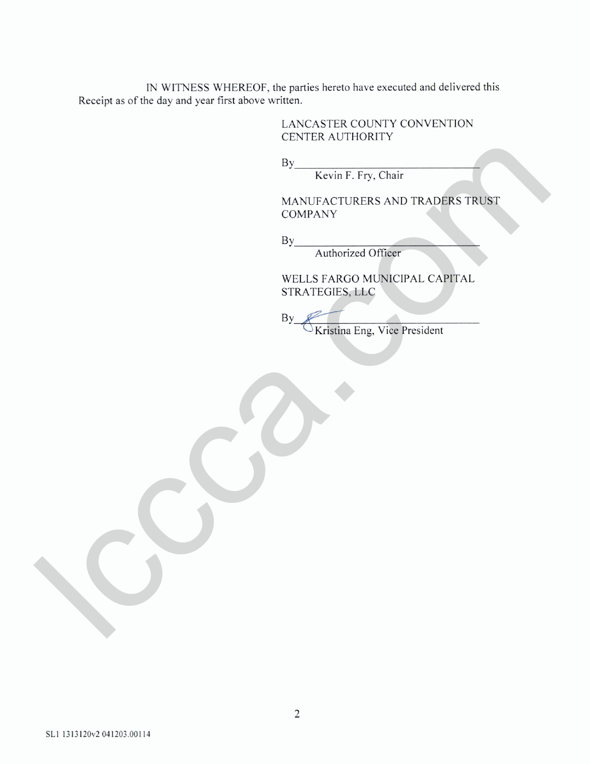IN WITNESS WHEREOF, the parties hereto have executed and delivered this Receipt as of the day and year first above written.

> LANCASTER COUNTY CONVENTION CENTER AUTHORITY

 $By$ 

Kevin F. Fry, Chair

MANUFACTURERS AND TRADERS TRUST COMPANY By<br>
HANUFACTURERS AND TRADERS TRUST<br>
MANUFACTURERS AND TRADERS TRUST<br>
By<br>
WELLS FARCO MORE<br>
STRATEGIES, LLC<br>
BY<br>
CKIRIDA Eng. Vice President<br>
By<br>
CKIRIDA Eng. Vice President

Authorized Officer

WELLS FARGO MUNICIPAL CAPITAL STRATEGIES, LLC

**By** *Kristina Eng, Vice President*